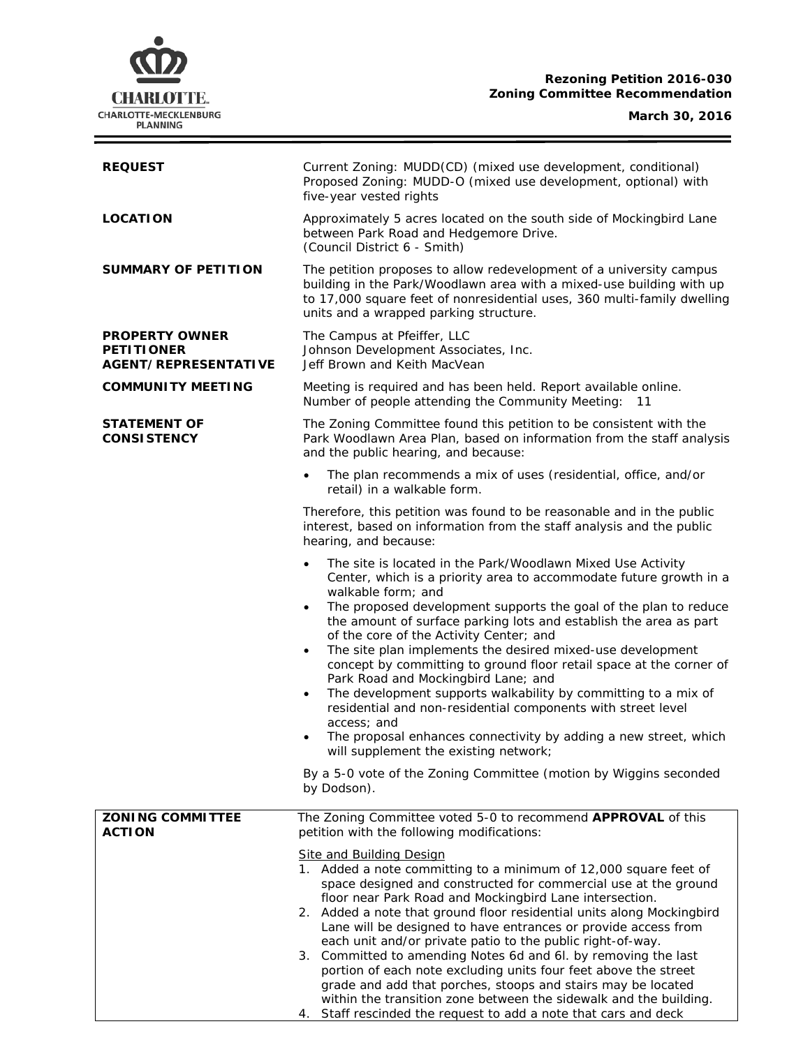## **Rezoning Petition 2016-030 Zoning Committee Recommendation**



÷

| <b>REQUEST</b>                                                            | Current Zoning: MUDD(CD) (mixed use development, conditional)<br>Proposed Zoning: MUDD-O (mixed use development, optional) with<br>five-year vested rights                                                                                                                                                                                                                                                                                                                                                                                                                                                                                                                                                                                                                                                                |  |  |
|---------------------------------------------------------------------------|---------------------------------------------------------------------------------------------------------------------------------------------------------------------------------------------------------------------------------------------------------------------------------------------------------------------------------------------------------------------------------------------------------------------------------------------------------------------------------------------------------------------------------------------------------------------------------------------------------------------------------------------------------------------------------------------------------------------------------------------------------------------------------------------------------------------------|--|--|
| <b>LOCATION</b>                                                           | Approximately 5 acres located on the south side of Mockingbird Lane<br>between Park Road and Hedgemore Drive.<br>(Council District 6 - Smith)                                                                                                                                                                                                                                                                                                                                                                                                                                                                                                                                                                                                                                                                             |  |  |
| SUMMARY OF PETITION                                                       | The petition proposes to allow redevelopment of a university campus<br>building in the Park/Woodlawn area with a mixed-use building with up<br>to 17,000 square feet of nonresidential uses, 360 multi-family dwelling<br>units and a wrapped parking structure.                                                                                                                                                                                                                                                                                                                                                                                                                                                                                                                                                          |  |  |
| <b>PROPERTY OWNER</b><br><b>PETITIONER</b><br><b>AGENT/REPRESENTATIVE</b> | The Campus at Pfeiffer, LLC<br>Johnson Development Associates, Inc.<br>Jeff Brown and Keith MacVean                                                                                                                                                                                                                                                                                                                                                                                                                                                                                                                                                                                                                                                                                                                       |  |  |
| <b>COMMUNITY MEETING</b>                                                  | Meeting is required and has been held. Report available online.<br>Number of people attending the Community Meeting: 11                                                                                                                                                                                                                                                                                                                                                                                                                                                                                                                                                                                                                                                                                                   |  |  |
| <b>STATEMENT OF</b><br><b>CONSISTENCY</b>                                 | The Zoning Committee found this petition to be consistent with the<br>Park Woodlawn Area Plan, based on information from the staff analysis<br>and the public hearing, and because:                                                                                                                                                                                                                                                                                                                                                                                                                                                                                                                                                                                                                                       |  |  |
|                                                                           | The plan recommends a mix of uses (residential, office, and/or<br>retail) in a walkable form.                                                                                                                                                                                                                                                                                                                                                                                                                                                                                                                                                                                                                                                                                                                             |  |  |
|                                                                           | Therefore, this petition was found to be reasonable and in the public<br>interest, based on information from the staff analysis and the public<br>hearing, and because:                                                                                                                                                                                                                                                                                                                                                                                                                                                                                                                                                                                                                                                   |  |  |
|                                                                           | The site is located in the Park/Woodlawn Mixed Use Activity<br>$\bullet$<br>Center, which is a priority area to accommodate future growth in a<br>walkable form; and<br>The proposed development supports the goal of the plan to reduce<br>the amount of surface parking lots and establish the area as part<br>of the core of the Activity Center; and<br>The site plan implements the desired mixed-use development<br>$\bullet$<br>concept by committing to ground floor retail space at the corner of<br>Park Road and Mockingbird Lane; and<br>The development supports walkability by committing to a mix of<br>٠<br>residential and non-residential components with street level<br>access; and<br>The proposal enhances connectivity by adding a new street, which<br>٠<br>will supplement the existing network; |  |  |
|                                                                           | By a 5-0 vote of the Zoning Committee (motion by Wiggins seconded<br>by Dodson).                                                                                                                                                                                                                                                                                                                                                                                                                                                                                                                                                                                                                                                                                                                                          |  |  |
| <b>ZONING COMMITTEE</b><br><b>ACTION</b>                                  | The Zoning Committee voted 5-0 to recommend APPROVAL of this<br>petition with the following modifications:                                                                                                                                                                                                                                                                                                                                                                                                                                                                                                                                                                                                                                                                                                                |  |  |
|                                                                           | <b>Site and Building Design</b><br>1. Added a note committing to a minimum of 12,000 square feet of<br>space designed and constructed for commercial use at the ground<br>floor near Park Road and Mockingbird Lane intersection.                                                                                                                                                                                                                                                                                                                                                                                                                                                                                                                                                                                         |  |  |
|                                                                           | 2. Added a note that ground floor residential units along Mockingbird<br>Lane will be designed to have entrances or provide access from<br>each unit and/or private patio to the public right-of-way.                                                                                                                                                                                                                                                                                                                                                                                                                                                                                                                                                                                                                     |  |  |
|                                                                           | 3. Committed to amending Notes 6d and 6l. by removing the last<br>portion of each note excluding units four feet above the street<br>grade and add that porches, stoops and stairs may be located<br>within the transition zone between the sidewalk and the building.                                                                                                                                                                                                                                                                                                                                                                                                                                                                                                                                                    |  |  |
|                                                                           | Staff rescinded the request to add a note that cars and deck<br>4.                                                                                                                                                                                                                                                                                                                                                                                                                                                                                                                                                                                                                                                                                                                                                        |  |  |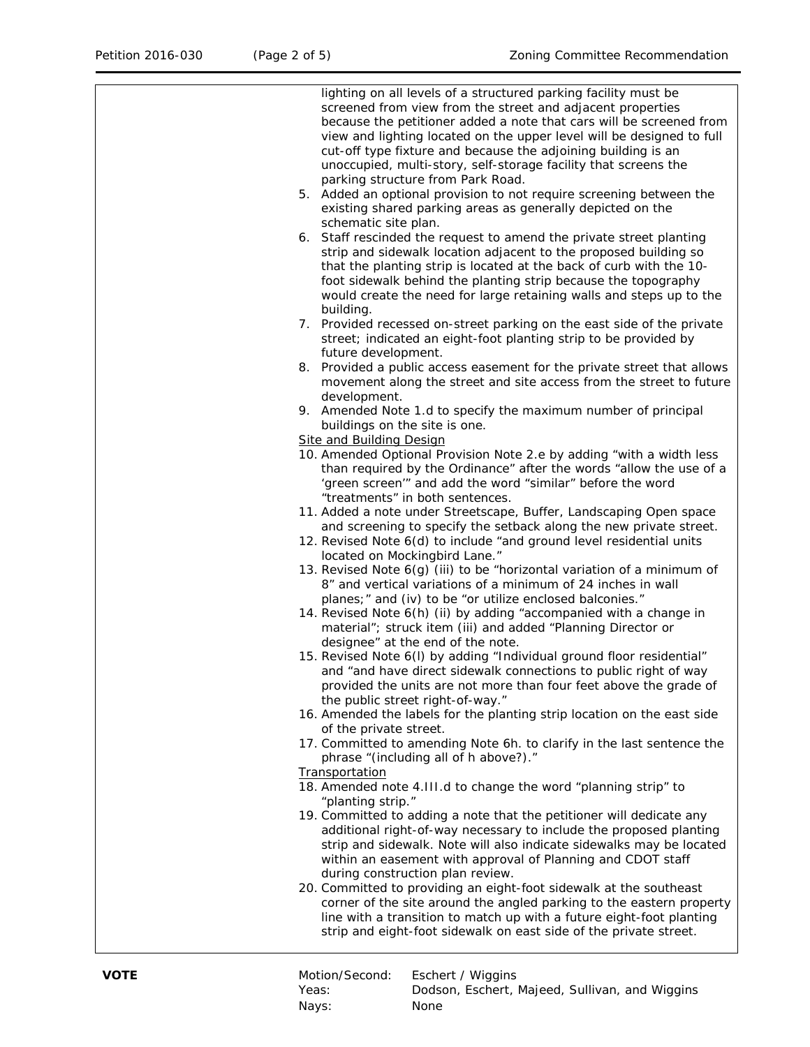| lighting on all levels of a structured parking facility must be         |
|-------------------------------------------------------------------------|
|                                                                         |
| screened from view from the street and adjacent properties              |
| because the petitioner added a note that cars will be screened from     |
| view and lighting located on the upper level will be designed to full   |
| cut-off type fixture and because the adjoining building is an           |
| unoccupied, multi-story, self-storage facility that screens the         |
| parking structure from Park Road.                                       |
| 5. Added an optional provision to not require screening between the     |
|                                                                         |
| existing shared parking areas as generally depicted on the              |
| schematic site plan.                                                    |
| 6. Staff rescinded the request to amend the private street planting     |
| strip and sidewalk location adjacent to the proposed building so        |
| that the planting strip is located at the back of curb with the 10-     |
| foot sidewalk behind the planting strip because the topography          |
| would create the need for large retaining walls and steps up to the     |
|                                                                         |
| building.                                                               |
| 7. Provided recessed on-street parking on the east side of the private  |
| street; indicated an eight-foot planting strip to be provided by        |
| future development.                                                     |
| 8. Provided a public access easement for the private street that allows |
| movement along the street and site access from the street to future     |
| development.                                                            |
| 9. Amended Note 1.d to specify the maximum number of principal          |
|                                                                         |
| buildings on the site is one.                                           |
| <b>Site and Building Design</b>                                         |
| 10. Amended Optional Provision Note 2.e by adding "with a width less    |
| than required by the Ordinance" after the words "allow the use of a     |
| 'green screen'" and add the word "similar" before the word              |
| "treatments" in both sentences.                                         |
| 11. Added a note under Streetscape, Buffer, Landscaping Open space      |
| and screening to specify the setback along the new private street.      |
| 12. Revised Note 6(d) to include "and ground level residential units    |
|                                                                         |
| located on Mockingbird Lane."                                           |
| 13. Revised Note 6(g) (iii) to be "horizontal variation of a minimum of |
| 8" and vertical variations of a minimum of 24 inches in wall            |
| planes; " and (iv) to be "or utilize enclosed balconies."               |
| 14. Revised Note 6(h) (ii) by adding "accompanied with a change in      |
| material"; struck item (iii) and added "Planning Director or            |
| designee" at the end of the note.                                       |
| 15. Revised Note 6(I) by adding "Individual ground floor residential"   |
| and "and have direct sidewalk connections to public right of way        |
|                                                                         |
| provided the units are not more than four feet above the grade of       |
| the public street right-of-way."                                        |
| 16. Amended the labels for the planting strip location on the east side |
| of the private street.                                                  |
| 17. Committed to amending Note 6h. to clarify in the last sentence the  |
| phrase "(including all of h above?)."                                   |
| Transportation                                                          |
| 18. Amended note 4.III.d to change the word "planning strip" to         |
| "planting strip."                                                       |
| 19. Committed to adding a note that the petitioner will dedicate any    |
|                                                                         |
| additional right-of-way necessary to include the proposed planting      |
| strip and sidewalk. Note will also indicate sidewalks may be located    |
| within an easement with approval of Planning and CDOT staff             |
| during construction plan review.                                        |
| 20. Committed to providing an eight-foot sidewalk at the southeast      |
| corner of the site around the angled parking to the eastern property    |
| line with a transition to match up with a future eight-foot planting    |
| strip and eight-foot sidewalk on east side of the private street.       |
|                                                                         |
|                                                                         |

| VOTE | Motion/Second: | Eschert / Wiggins                              |
|------|----------------|------------------------------------------------|
|      | Yeas:          | Dodson, Eschert, Majeed, Sullivan, and Wiggins |
|      | Navs:          | None                                           |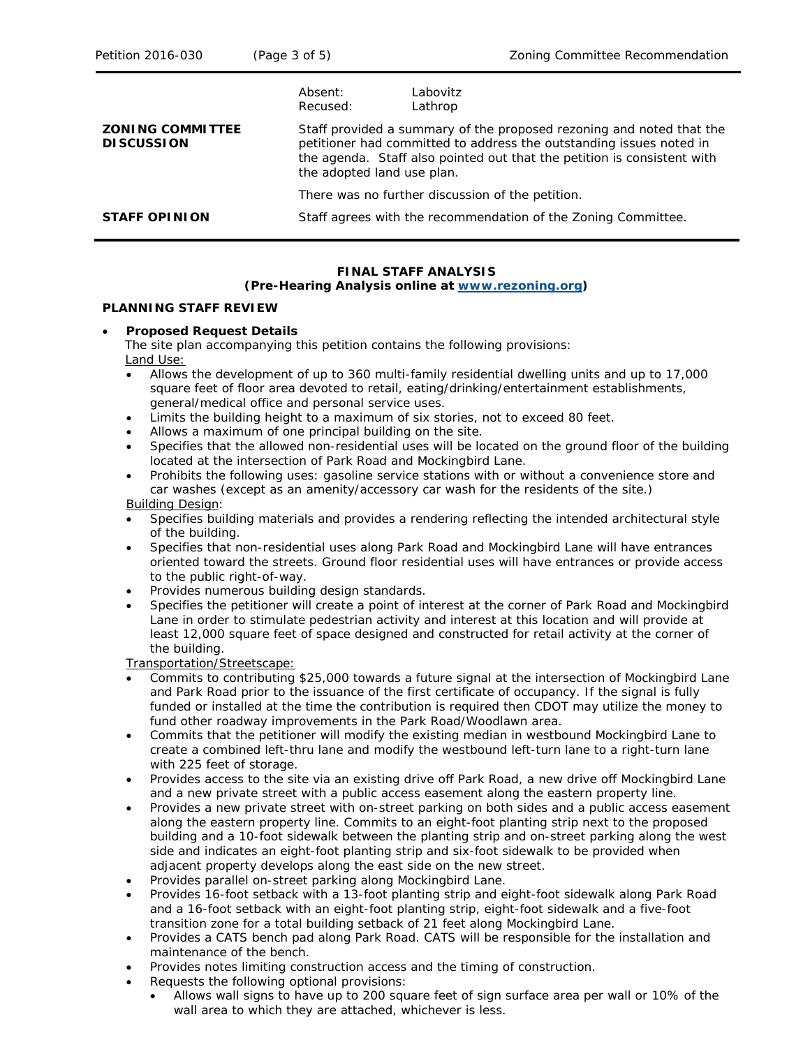|                                              | Absent:<br>Recused:                                                                                                                                                                                                                                  | Labovitz<br>Lathrop                                           |  |
|----------------------------------------------|------------------------------------------------------------------------------------------------------------------------------------------------------------------------------------------------------------------------------------------------------|---------------------------------------------------------------|--|
| <b>ZONING COMMITTEE</b><br><b>DISCUSSION</b> | Staff provided a summary of the proposed rezoning and noted that the<br>petitioner had committed to address the outstanding issues noted in<br>the agenda. Staff also pointed out that the petition is consistent with<br>the adopted land use plan. |                                                               |  |
|                                              | There was no further discussion of the petition.                                                                                                                                                                                                     |                                                               |  |
| <b>STAFF OPINION</b>                         |                                                                                                                                                                                                                                                      | Staff agrees with the recommendation of the Zoning Committee. |  |

### **FINAL STAFF ANALYSIS**

#### **(Pre-Hearing Analysis online at [www.rezoning.org\)](http://www.rezoning.org/)**

#### **PLANNING STAFF REVIEW**

#### • **Proposed Request Details**

The site plan accompanying this petition contains the following provisions: Land Use:

- Allows the development of up to 360 multi-family residential dwelling units and up to 17,000 square feet of floor area devoted to retail, eating/drinking/entertainment establishments, general/medical office and personal service uses.
- Limits the building height to a maximum of six stories, not to exceed 80 feet.
- Allows a maximum of one principal building on the site.
- Specifies that the allowed non-residential uses will be located on the ground floor of the building located at the intersection of Park Road and Mockingbird Lane.
- Prohibits the following uses: gasoline service stations with or without a convenience store and car washes (except as an amenity/accessory car wash for the residents of the site.) Building Design:

### • Specifies building materials and provides a rendering reflecting the intended architectural style of the building.

- Specifies that non-residential uses along Park Road and Mockingbird Lane will have entrances oriented toward the streets. Ground floor residential uses will have entrances or provide access to the public right-of-way.
- Provides numerous building design standards.
- Specifies the petitioner will create a point of interest at the corner of Park Road and Mockingbird Lane in order to stimulate pedestrian activity and interest at this location and will provide at least 12,000 square feet of space designed and constructed for retail activity at the corner of the building.

Transportation/Streetscape:

- Commits to contributing \$25,000 towards a future signal at the intersection of Mockingbird Lane and Park Road prior to the issuance of the first certificate of occupancy. If the signal is fully funded or installed at the time the contribution is required then CDOT may utilize the money to fund other roadway improvements in the Park Road/Woodlawn area.
- Commits that the petitioner will modify the existing median in westbound Mockingbird Lane to create a combined left-thru lane and modify the westbound left-turn lane to a right-turn lane with 225 feet of storage.
- Provides access to the site via an existing drive off Park Road, a new drive off Mockingbird Lane and a new private street with a public access easement along the eastern property line.
- Provides a new private street with on-street parking on both sides and a public access easement along the eastern property line. Commits to an eight-foot planting strip next to the proposed building and a 10-foot sidewalk between the planting strip and on-street parking along the west side and indicates an eight-foot planting strip and six-foot sidewalk to be provided when adjacent property develops along the east side on the new street.
- Provides parallel on-street parking along Mockingbird Lane.
- Provides 16-foot setback with a 13-foot planting strip and eight-foot sidewalk along Park Road and a 16-foot setback with an eight-foot planting strip, eight-foot sidewalk and a five-foot transition zone for a total building setback of 21 feet along Mockingbird Lane.
- Provides a CATS bench pad along Park Road. CATS will be responsible for the installation and maintenance of the bench.
- Provides notes limiting construction access and the timing of construction.
- Requests the following optional provisions:
	- Allows wall signs to have up to 200 square feet of sign surface area per wall or 10% of the wall area to which they are attached, whichever is less.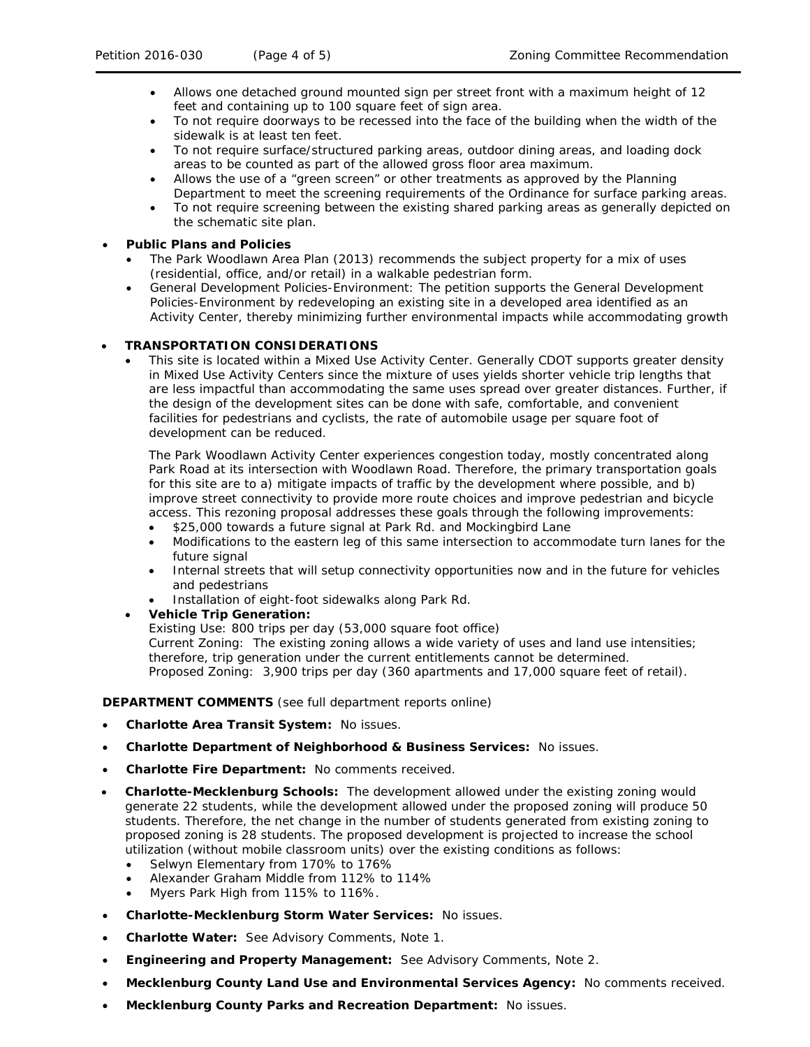- Allows one detached ground mounted sign per street front with a maximum height of 12 feet and containing up to 100 square feet of sign area.
- To not require doorways to be recessed into the face of the building when the width of the sidewalk is at least ten feet.
- To not require surface/structured parking areas, outdoor dining areas, and loading dock areas to be counted as part of the allowed gross floor area maximum.
- Allows the use of a "green screen" or other treatments as approved by the Planning Department to meet the screening requirements of the Ordinance for surface parking areas.
- To not require screening between the existing shared parking areas as generally depicted on the schematic site plan.

### • **Public Plans and Policies**

- *The Park Woodlawn Area Plan (2013)* recommends the subject property for a mix of uses (residential, office, and/or retail) in a walkable pedestrian form.
- *General Development Policies-Environment:* The petition supports the *General Development Policies-Environment* by redeveloping an existing site in a developed area identified as an Activity Center, thereby minimizing further environmental impacts while accommodating growth

### • **TRANSPORTATION CONSIDERATIONS**

This site is located within a Mixed Use Activity Center. Generally CDOT supports greater density in Mixed Use Activity Centers since the mixture of uses yields shorter vehicle trip lengths that are less impactful than accommodating the same uses spread over greater distances. Further, if the design of the development sites can be done with safe, comfortable, and convenient facilities for pedestrians and cyclists, the rate of automobile usage per square foot of development can be reduced.

The Park Woodlawn Activity Center experiences congestion today, mostly concentrated along Park Road at its intersection with Woodlawn Road. Therefore, the primary transportation goals for this site are to a) mitigate impacts of traffic by the development where possible, and b) improve street connectivity to provide more route choices and improve pedestrian and bicycle access. This rezoning proposal addresses these goals through the following improvements:

- \$25,000 towards a future signal at Park Rd. and Mockingbird Lane
- Modifications to the eastern leg of this same intersection to accommodate turn lanes for the future signal
- Internal streets that will setup connectivity opportunities now and in the future for vehicles and pedestrians
- Installation of eight-foot sidewalks along Park Rd.
- **Vehicle Trip Generation:**

Existing Use: 800 trips per day (53,000 square foot office) Current Zoning: The existing zoning allows a wide variety of uses and land use intensities; therefore, trip generation under the current entitlements cannot be determined. Proposed Zoning: 3,900 trips per day (360 apartments and 17,000 square feet of retail).

### **DEPARTMENT COMMENTS** (see full department reports online)

- **Charlotte Area Transit System:** No issues.
- **Charlotte Department of Neighborhood & Business Services:** No issues.
- **Charlotte Fire Department:** No comments received.
- **Charlotte-Mecklenburg Schools:** The development allowed under the existing zoning would generate 22 students, while the development allowed under the proposed zoning will produce 50 students. Therefore, the net change in the number of students generated from existing zoning to proposed zoning is 28 students. The proposed development is projected to increase the school utilization (without mobile classroom units) over the existing conditions as follows:
	- Selwyn Elementary from 170% to 176%
	- Alexander Graham Middle from 112% to 114%
	- Myers Park High from 115% to 116%.
- **Charlotte-Mecklenburg Storm Water Services:** No issues.
- **Charlotte Water:** See Advisory Comments, Note 1.
- **Engineering and Property Management:** See Advisory Comments, Note 2.
- **Mecklenburg County Land Use and Environmental Services Agency:** No comments received.
- **Mecklenburg County Parks and Recreation Department:** No issues.